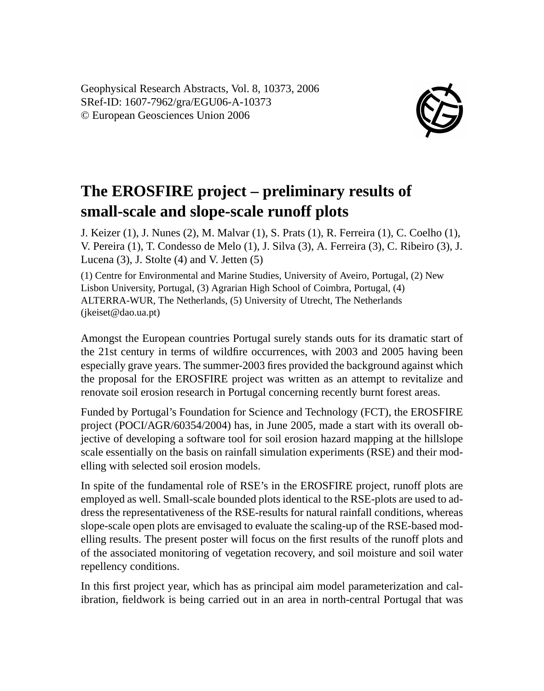Geophysical Research Abstracts, Vol. 8, 10373, 2006 SRef-ID: 1607-7962/gra/EGU06-A-10373 © European Geosciences Union 2006



## **The EROSFIRE project – preliminary results of small-scale and slope-scale runoff plots**

J. Keizer (1), J. Nunes (2), M. Malvar (1), S. Prats (1), R. Ferreira (1), C. Coelho (1), V. Pereira (1), T. Condesso de Melo (1), J. Silva (3), A. Ferreira (3), C. Ribeiro (3), J. Lucena (3), J. Stolte (4) and V. Jetten (5)

(1) Centre for Environmental and Marine Studies, University of Aveiro, Portugal, (2) New Lisbon University, Portugal, (3) Agrarian High School of Coimbra, Portugal, (4) ALTERRA-WUR, The Netherlands, (5) University of Utrecht, The Netherlands (jkeiset@dao.ua.pt)

Amongst the European countries Portugal surely stands outs for its dramatic start of the 21st century in terms of wildfire occurrences, with 2003 and 2005 having been especially grave years. The summer-2003 fires provided the background against which the proposal for the EROSFIRE project was written as an attempt to revitalize and renovate soil erosion research in Portugal concerning recently burnt forest areas.

Funded by Portugal's Foundation for Science and Technology (FCT), the EROSFIRE project (POCI/AGR/60354/2004) has, in June 2005, made a start with its overall objective of developing a software tool for soil erosion hazard mapping at the hillslope scale essentially on the basis on rainfall simulation experiments (RSE) and their modelling with selected soil erosion models.

In spite of the fundamental role of RSE's in the EROSFIRE project, runoff plots are employed as well. Small-scale bounded plots identical to the RSE-plots are used to address the representativeness of the RSE-results for natural rainfall conditions, whereas slope-scale open plots are envisaged to evaluate the scaling-up of the RSE-based modelling results. The present poster will focus on the first results of the runoff plots and of the associated monitoring of vegetation recovery, and soil moisture and soil water repellency conditions.

In this first project year, which has as principal aim model parameterization and calibration, fieldwork is being carried out in an area in north-central Portugal that was